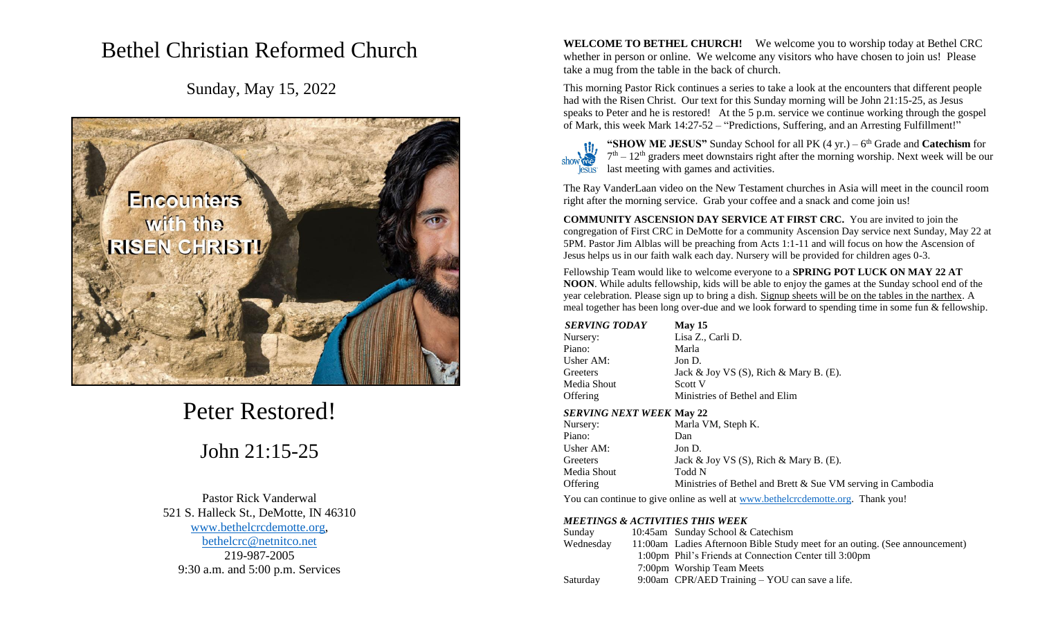# Bethel Christian Reformed Church

Sunday, May 15, 2022



Peter Restored!

John 21:15-25

Pastor Rick Vanderwal 521 S. Halleck St., DeMotte, IN 46310 [www.bethelcrcdemotte.org,](http://www.bethelcrcdemotte.org/) [bethelcrc@netnitco.net](mailto:bethelcrc@netnitco.net) 219-987-2005 9:30 a.m. and 5:00 p.m. Services

**WELCOME TO BETHEL CHURCH!** We welcome you to worship today at Bethel CRC whether in person or online. We welcome any visitors who have chosen to join us! Please take a mug from the table in the back of church.

This morning Pastor Rick continues a series to take a look at the encounters that different people had with the Risen Christ. Our text for this Sunday morning will be John 21:15-25, as Jesus speaks to Peter and he is restored! At the 5 p.m. service we continue working through the gospel of Mark, this week Mark 14:27-52 – "Predictions, Suffering, and an Arresting Fulfillment!"

**"SHOW ME JESUS"** Sunday School for all PK (4 yr.) – 6 th Grade and **Catechism** for  $7<sup>th</sup> - 12<sup>th</sup>$  graders meet downstairs right after the morning worship. Next week will be our last meeting with games and activities.

The Ray VanderLaan video on the New Testament churches in Asia will meet in the council room right after the morning service. Grab your coffee and a snack and come join us!

**COMMUNITY ASCENSION DAY SERVICE AT FIRST CRC.** You are invited to join the congregation of First CRC in DeMotte for a community Ascension Day service next Sunday, May 22 at 5PM. Pastor Jim Alblas will be preaching from Acts 1:1-11 and will focus on how the Ascension of Jesus helps us in our faith walk each day. Nursery will be provided for children ages 0-3.

Fellowship Team would like to welcome everyone to a **SPRING POT LUCK ON MAY 22 AT NOON**. While adults fellowship, kids will be able to enjoy the games at the Sunday school end of the year celebration. Please sign up to bring a dish. Signup sheets will be on the tables in the narthex. A meal together has been long over-due and we look forward to spending time in some fun & fellowship.

| <b>May 15</b>                                |
|----------------------------------------------|
| Lisa Z., Carli D.                            |
| Marla                                        |
| Jon D.                                       |
| Jack & Joy VS $(S)$ , Rich & Mary B. $(E)$ . |
| Scott V                                      |
| Ministries of Bethel and Elim                |
|                                              |

# *SERVING NEXT WEEK* **May 22**

| Nursery:    | Marla VM, Steph K.                                            |
|-------------|---------------------------------------------------------------|
| Piano:      | Dan                                                           |
| Usher AM:   | Jon D.                                                        |
| Greeters    | Jack & Joy VS $(S)$ , Rich & Mary B. $(E)$ .                  |
| Media Shout | Todd N                                                        |
| Offering    | Ministries of Bethel and Brett $&$ Sue VM serving in Cambodia |

You can continue to give online as well at [www.bethelcrcdemotte.org.](http://www.bethelcrcdemotte.org/) Thank you!

# *MEETINGS & ACTIVITIES THIS WEEK*

| Sunday    | 10:45am Sunday School & Catechism                                           |
|-----------|-----------------------------------------------------------------------------|
| Wednesday | 11:00am Ladies Afternoon Bible Study meet for an outing. (See announcement) |
|           | 1:00pm Phil's Friends at Connection Center till 3:00pm                      |
|           | 7:00pm Worship Team Meets                                                   |
| Saturday  | 9:00am CPR/AED Training – YOU can save a life.                              |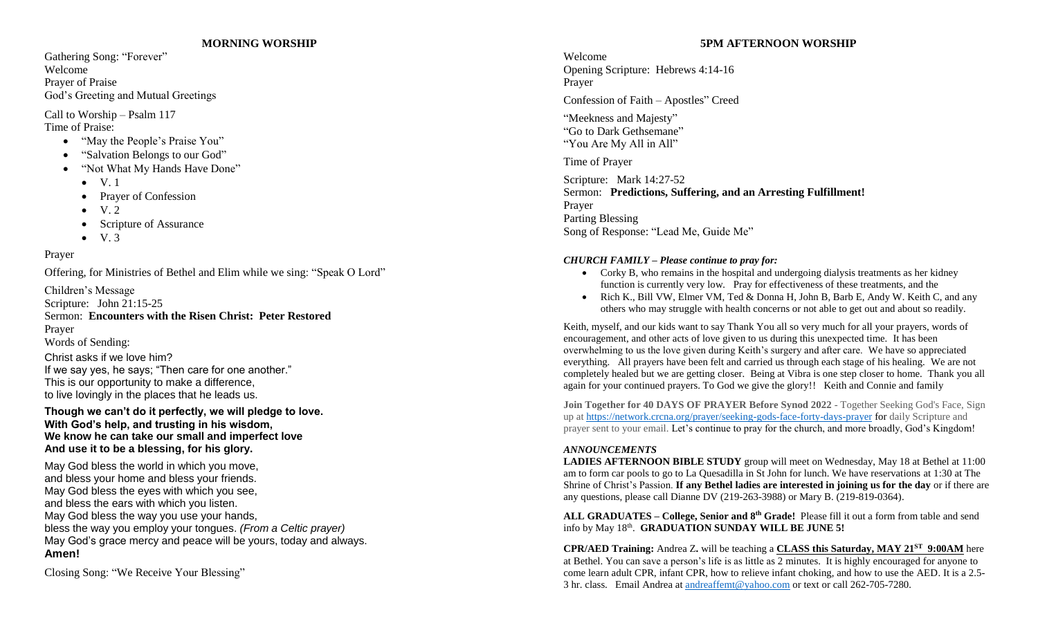#### **MORNING WORSHIP**

Gathering Song: "Forever" Welcome Prayer of Praise God's Greeting and Mutual Greetings

Call to Worship – Psalm 117 Time of Praise:

- "May the People's Praise You"
- "Salvation Belongs to our God"
- "Not What My Hands Have Done"
	- $\bullet$  V.1
	- Prayer of Confession
	- V. 2
	- Scripture of Assurance
	- $\bullet$  V. 3

# Prayer

Offering, for Ministries of Bethel and Elim while we sing: "Speak O Lord"

Children's Message Scripture: John 21:15-25 Sermon: **Encounters with the Risen Christ: Peter Restored** Prayer Words of Sending: Christ asks if we love him?

If we say yes, he says; "Then care for one another." This is our opportunity to make a difference, to live lovingly in the places that he leads us.

# **Though we can't do it perfectly, we will pledge to love. With God's help, and trusting in his wisdom, We know he can take our small and imperfect love And use it to be a blessing, for his glory.**

May God bless the world in which you move, and bless your home and bless your friends. May God bless the eyes with which you see, and bless the ears with which you listen. May God bless the way you use your hands, bless the way you employ your tongues. *(From a Celtic prayer)* May God's grace mercy and peace will be yours, today and always. **Amen!**

Closing Song: "We Receive Your Blessing"

# **5PM AFTERNOON WORSHIP**

Welcome Opening Scripture: Hebrews 4:14-16 Prayer

Confession of Faith – Apostles" Creed

"Meekness and Majesty" "Go to Dark Gethsemane" "You Are My All in All"

Time of Prayer

Scripture: Mark 14:27-52 Sermon: **Predictions, Suffering, and an Arresting Fulfillment!** Prayer Parting Blessing Song of Response: "Lead Me, Guide Me"

## *CHURCH FAMILY – Please continue to pray for:*

- Corky B, who remains in the hospital and undergoing dialysis treatments as her kidney function is currently very low. Pray for effectiveness of these treatments, and the
- Rich K., Bill VW, Elmer VM, Ted & Donna H, John B, Barb E, Andy W. Keith C, and any others who may struggle with health concerns or not able to get out and about so readily.

Keith, myself, and our kids want to say Thank You all so very much for all your prayers, words of encouragement, and other acts of love given to us during this unexpected time. It has been overwhelming to us the love given during Keith's surgery and after care. We have so appreciated everything. All prayers have been felt and carried us through each stage of his healing. We are not completely healed but we are getting closer. Being at Vibra is one step closer to home. Thank you all again for your continued prayers. To God we give the glory!! Keith and Connie and family

**Join Together for 40 DAYS OF PRAYER Before Synod 2022** - Together Seeking God's Face, Sign up at<https://network.crcna.org/prayer/seeking-gods-face-forty-days-prayer> for daily Scripture and prayer sent to your email. Let's continue to pray for the church, and more broadly, God's Kingdom!

#### *ANNOUNCEMENTS*

**LADIES AFTERNOON BIBLE STUDY** group will meet on Wednesday, May 18 at Bethel at 11:00 am to form car pools to go to La Quesadilla in St John for lunch. We have reservations at 1:30 at The Shrine of Christ's Passion. **If any Bethel ladies are interested in joining us for the day** or if there are any questions, please call Dianne DV (219-263-3988) or Mary B. (219-819-0364).

**ALL GRADUATES – College, Senior and 8th Grade!** Please fill it out a form from table and send info by May 18<sup>th</sup>. **GRADUATION SUNDAY WILL BE JUNE 5!** 

**CPR/AED Training:** Andrea Z**.** will be teaching a **CLASS this Saturday, MAY 21ST 9:00AM** here at Bethel. You can save a person's life is as little as 2 minutes. It is highly encouraged for anyone to come learn adult CPR, infant CPR, how to relieve infant choking, and how to use the AED. It is a 2.5- 3 hr. class. Email Andrea at [andreaffemt@yahoo.com](mailto:andreaffemt@yahoo.com) or text or call 262-705-7280.